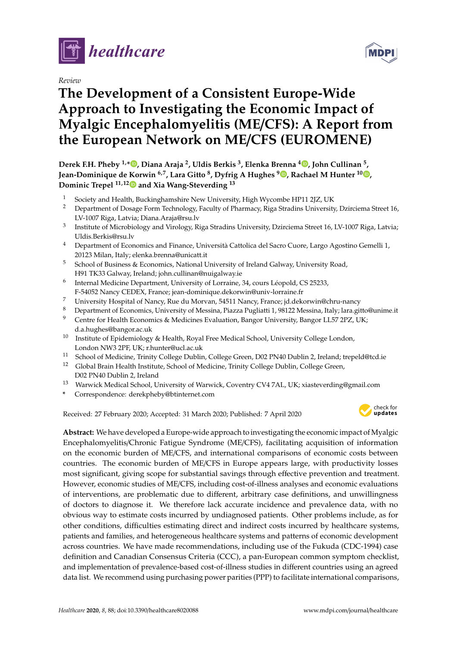

*Review*

# **The Development of a Consistent Europe-Wide Approach to Investigating the Economic Impact of Myalgic Encephalomyelitis (ME**/**CFS): A Report from the European Network on ME**/**CFS (EUROMENE)**

**Derek F.H. Pheby 1,\* [,](https://orcid.org/0000-0003-1726-0717) Diana Araja <sup>2</sup> , Uldis Berkis <sup>3</sup> , Elenka Brenna <sup>4</sup> [,](https://orcid.org/0000-0003-3332-9614) John Cullinan <sup>5</sup> , Jean-Dominique de Korwin 6,7, Lara Gitto <sup>8</sup> , Dyfrig A Hughes <sup>9</sup> [,](https://orcid.org/0000-0001-8247-7459) Rachael M Hunter <sup>10</sup> [,](https://orcid.org/0000-0002-7447-8934) Dominic Trepel 11,1[2](https://orcid.org/0000-0002-1421-2966) and Xia Wang-Steverding <sup>13</sup>**

- 1 Society and Health, Buckinghamshire New University, High Wycombe HP11 2JZ, UK<br>2 Department of Dosage Form Technology, Faculty of Pharmacy, Pice Strading University
- <sup>2</sup> Department of Dosage Form Technology, Faculty of Pharmacy, Riga Stradins University, Dzirciema Street 16, LV-1007 Riga, Latvia; Diana.Araja@rsu.lv
- 3 Institute of Microbiology and Virology, Riga Stradins University, Dzirciema Street 16, LV-1007 Riga, Latvia; Uldis.Berkis@rsu.lv
- <sup>4</sup> Department of Economics and Finance, Università Cattolica del Sacro Cuore, Largo Agostino Gemelli 1, 20123 Milan, Italy; elenka.brenna@unicatt.it
- <sup>5</sup> School of Business & Economics, National University of Ireland Galway, University Road, H91 TK33 Galway, Ireland; john.cullinan@nuigalway.ie
- 6 Internal Medicine Department, University of Lorraine, 34, cours Léopold, CS 25233, F-54052 Nancy CEDEX, France; jean-dominique.dekorwin@univ-lorraine.fr
- <sup>7</sup> University Hospital of Nancy, Rue du Morvan, 54511 Nancy, France; jd.dekorwin@chru-nancy
- <sup>8</sup> Department of Economics, University of Messina, Piazza Pugliatti 1, 98122 Messina, Italy; lara.gitto@unime.it
- <sup>9</sup> Centre for Health Economics & Medicines Evaluation, Bangor University, Bangor LL57 2PZ, UK; d.a.hughes@bangor.ac.uk
- <sup>10</sup> Institute of Epidemiology & Health, Royal Free Medical School, University College London, London NW3 2PF, UK; r.hunter@ucl.ac.uk
- <sup>11</sup> School of Medicine, Trinity College Dublin, College Green, D02 PN40 Dublin 2, Ireland; trepeld@tcd.ie
- <sup>12</sup> Global Brain Health Institute, School of Medicine, Trinity College Dublin, College Green, D02 PN40 Dublin 2, Ireland
- <sup>13</sup> Warwick Medical School, University of Warwick, Coventry CV4 7AL, UK; xiasteverding@gmail.com
- **\*** Correspondence: derekpheby@btinternet.com

Received: 27 February 2020; Accepted: 31 March 2020; Published: 7 April 2020



**Abstract:** We have developed a Europe-wide approach to investigating the economic impact of Myalgic Encephalomyelitis/Chronic Fatigue Syndrome (ME/CFS), facilitating acquisition of information on the economic burden of ME/CFS, and international comparisons of economic costs between countries. The economic burden of ME/CFS in Europe appears large, with productivity losses most significant, giving scope for substantial savings through effective prevention and treatment. However, economic studies of ME/CFS, including cost-of-illness analyses and economic evaluations of interventions, are problematic due to different, arbitrary case definitions, and unwillingness of doctors to diagnose it. We therefore lack accurate incidence and prevalence data, with no obvious way to estimate costs incurred by undiagnosed patients. Other problems include, as for other conditions, difficulties estimating direct and indirect costs incurred by healthcare systems, patients and families, and heterogeneous healthcare systems and patterns of economic development across countries. We have made recommendations, including use of the Fukuda (CDC-1994) case definition and Canadian Consensus Criteria (CCC), a pan-European common symptom checklist, and implementation of prevalence-based cost-of-illness studies in different countries using an agreed data list. We recommend using purchasing power parities (PPP) to facilitate international comparisons,

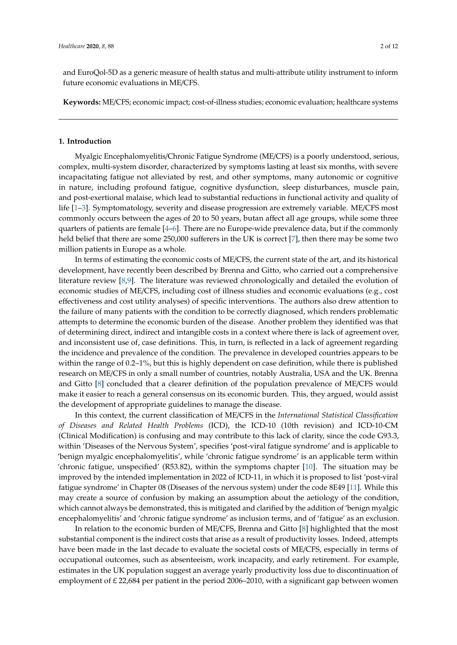and EuroQol-5D as a generic measure of health status and multi-attribute utility instrument to inform future economic evaluations in ME/CFS.

**Keywords:** ME/CFS; economic impact; cost-of-illness studies; economic evaluation; healthcare systems

#### **1. Introduction**

Myalgic Encephalomyelitis/Chronic Fatigue Syndrome (ME/CFS) is a poorly understood, serious, complex, multi-system disorder, characterized by symptoms lasting at least six months, with severe incapacitating fatigue not alleviated by rest, and other symptoms, many autonomic or cognitive in nature, including profound fatigue, cognitive dysfunction, sleep disturbances, muscle pain, and post-exertional malaise, which lead to substantial reductions in functional activity and quality of life [\[1–](#page-9-0)[3\]](#page-9-1). Symptomatology, severity and disease progression are extremely variable. ME/CFS most commonly occurs between the ages of 20 to 50 years, butan affect all age groups, while some three quarters of patients are female [\[4–](#page-9-2)[6\]](#page-9-3). There are no Europe-wide prevalence data, but if the commonly held belief that there are some 250,000 sufferers in the UK is correct [\[7\]](#page-9-4), then there may be some two million patients in Europe as a whole.

In terms of estimating the economic costs of ME/CFS, the current state of the art, and its historical development, have recently been described by Brenna and Gitto, who carried out a comprehensive literature review [\[8](#page-9-5)[,9\]](#page-9-6). The literature was reviewed chronologically and detailed the evolution of economic studies of ME/CFS, including cost of illness studies and economic evaluations (e.g., cost effectiveness and cost utility analyses) of specific interventions. The authors also drew attention to the failure of many patients with the condition to be correctly diagnosed, which renders problematic attempts to determine the economic burden of the disease. Another problem they identified was that of determining direct, indirect and intangible costs in a context where there is lack of agreement over, and inconsistent use of, case definitions. This, in turn, is reflected in a lack of agreement regarding the incidence and prevalence of the condition. The prevalence in developed countries appears to be within the range of 0.2–1%, but this is highly dependent on case definition, while there is published research on ME/CFS in only a small number of countries, notably Australia, USA and the UK. Brenna and Gitto [\[8\]](#page-9-5) concluded that a clearer definition of the population prevalence of ME/CFS would make it easier to reach a general consensus on its economic burden. This, they argued, would assist the development of appropriate guidelines to manage the disease.

In this context, the current classification of ME/CFS in the *International Statistical Classification of Diseases and Related Health Problems* (ICD), the ICD-10 (10th revision) and ICD-10-CM (Clinical Modification) is confusing and may contribute to this lack of clarity, since the code G93.3, within 'Diseases of the Nervous System', specifies 'post-viral fatigue syndrome' and is applicable to 'benign myalgic encephalomyelitis', while 'chronic fatigue syndrome' is an applicable term within 'chronic fatigue, unspecified' (R53.82), within the symptoms chapter [\[10\]](#page-9-7). The situation may be improved by the intended implementation in 2022 of ICD-11, in which it is proposed to list 'post-viral fatigue syndrome' in Chapter 08 (Diseases of the nervous system) under the code 8E49 [\[11\]](#page-9-8). While this may create a source of confusion by making an assumption about the aetiology of the condition, which cannot always be demonstrated, this is mitigated and clarified by the addition of 'benign myalgic encephalomyelitis' and 'chronic fatigue syndrome' as inclusion terms, and of 'fatigue' as an exclusion.

In relation to the economic burden of ME/CFS, Brenna and Gitto [\[8\]](#page-9-5) highlighted that the most substantial component is the indirect costs that arise as a result of productivity losses. Indeed, attempts have been made in the last decade to evaluate the societal costs of ME/CFS, especially in terms of occupational outcomes, such as absenteeism, work incapacity, and early retirement. For example, estimates in the UK population suggest an average yearly productivity loss due to discontinuation of employment of  $\text{\pounds} 22,684$  per patient in the period 2006–2010, with a significant gap between women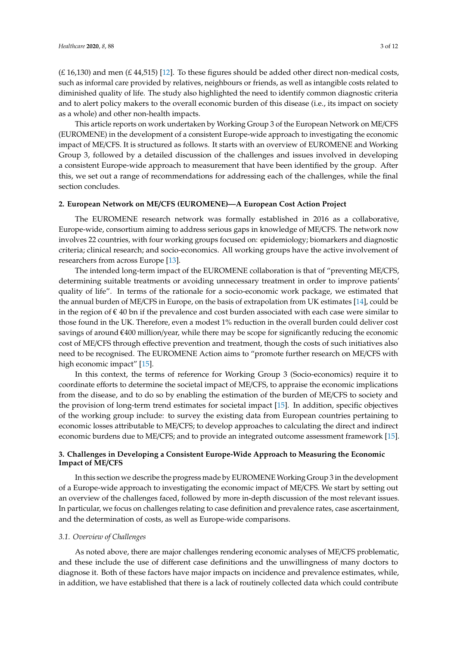$(E 16,130)$  and men  $(E 44,515)$  [\[12\]](#page-9-9). To these figures should be added other direct non-medical costs, such as informal care provided by relatives, neighbours or friends, as well as intangible costs related to diminished quality of life. The study also highlighted the need to identify common diagnostic criteria and to alert policy makers to the overall economic burden of this disease (i.e., its impact on society as a whole) and other non-health impacts.

This article reports on work undertaken by Working Group 3 of the European Network on ME/CFS (EUROMENE) in the development of a consistent Europe-wide approach to investigating the economic impact of ME/CFS. It is structured as follows. It starts with an overview of EUROMENE and Working Group 3, followed by a detailed discussion of the challenges and issues involved in developing a consistent Europe-wide approach to measurement that have been identified by the group. After this, we set out a range of recommendations for addressing each of the challenges, while the final section concludes.

## **2. European Network on ME**/**CFS (EUROMENE)—A European Cost Action Project**

The EUROMENE research network was formally established in 2016 as a collaborative, Europe-wide, consortium aiming to address serious gaps in knowledge of ME/CFS. The network now involves 22 countries, with four working groups focused on: epidemiology; biomarkers and diagnostic criteria; clinical research; and socio-economics. All working groups have the active involvement of researchers from across Europe [\[13\]](#page-9-10).

The intended long-term impact of the EUROMENE collaboration is that of "preventing ME/CFS, determining suitable treatments or avoiding unnecessary treatment in order to improve patients' quality of life". In terms of the rationale for a socio-economic work package, we estimated that the annual burden of ME/CFS in Europe, on the basis of extrapolation from UK estimates [\[14\]](#page-9-11), could be in the region of  $\epsilon$  40 bn if the prevalence and cost burden associated with each case were similar to those found in the UK. Therefore, even a modest 1% reduction in the overall burden could deliver cost savings of around €400 million/year, while there may be scope for significantly reducing the economic cost of ME/CFS through effective prevention and treatment, though the costs of such initiatives also need to be recognised. The EUROMENE Action aims to "promote further research on ME/CFS with high economic impact" [\[15\]](#page-9-12).

In this context, the terms of reference for Working Group 3 (Socio-economics) require it to coordinate efforts to determine the societal impact of ME/CFS, to appraise the economic implications from the disease, and to do so by enabling the estimation of the burden of ME/CFS to society and the provision of long-term trend estimates for societal impact [\[15\]](#page-9-12). In addition, specific objectives of the working group include: to survey the existing data from European countries pertaining to economic losses attributable to ME/CFS; to develop approaches to calculating the direct and indirect economic burdens due to ME/CFS; and to provide an integrated outcome assessment framework [\[15\]](#page-9-12).

# **3. Challenges in Developing a Consistent Europe-Wide Approach to Measuring the Economic Impact of ME**/**CFS**

In this section we describe the progress made by EUROMENE Working Group 3 in the development of a Europe-wide approach to investigating the economic impact of ME/CFS. We start by setting out an overview of the challenges faced, followed by more in-depth discussion of the most relevant issues. In particular, we focus on challenges relating to case definition and prevalence rates, case ascertainment, and the determination of costs, as well as Europe-wide comparisons.

## *3.1. Overview of Challenges*

As noted above, there are major challenges rendering economic analyses of ME/CFS problematic, and these include the use of different case definitions and the unwillingness of many doctors to diagnose it. Both of these factors have major impacts on incidence and prevalence estimates, while, in addition, we have established that there is a lack of routinely collected data which could contribute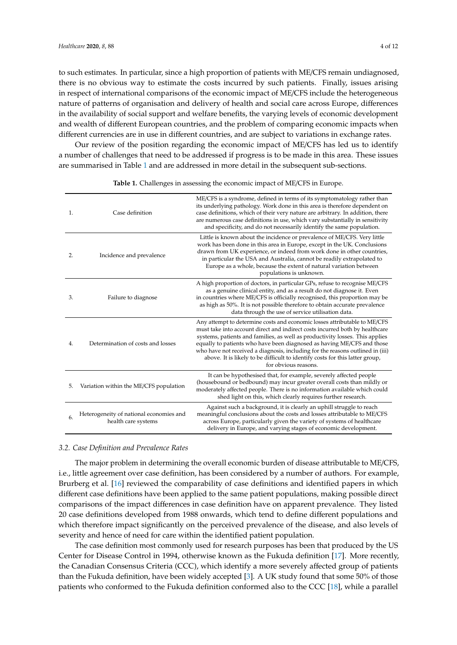to such estimates. In particular, since a high proportion of patients with ME/CFS remain undiagnosed, there is no obvious way to estimate the costs incurred by such patients. Finally, issues arising in respect of international comparisons of the economic impact of ME/CFS include the heterogeneous nature of patterns of organisation and delivery of health and social care across Europe, differences in the availability of social support and welfare benefits, the varying levels of economic development and wealth of different European countries, and the problem of comparing economic impacts when different currencies are in use in different countries, and are subject to variations in exchange rates.

Our review of the position regarding the economic impact of ME/CFS has led us to identify a number of challenges that need to be addressed if progress is to be made in this area. These issues are summarised in Table [1](#page-3-0) and are addressed in more detail in the subsequent sub-sections.

<span id="page-3-0"></span>

| 1. | Case definition                                                | ME/CFS is a syndrome, defined in terms of its symptomatology rather than<br>its underlying pathology. Work done in this area is therefore dependent on<br>case definitions, which of their very nature are arbitrary. In addition, there<br>are numerous case definitions in use, which vary substantially in sensitivity<br>and specificity, and do not necessarily identify the same population.                                                                                                            |
|----|----------------------------------------------------------------|---------------------------------------------------------------------------------------------------------------------------------------------------------------------------------------------------------------------------------------------------------------------------------------------------------------------------------------------------------------------------------------------------------------------------------------------------------------------------------------------------------------|
| 2. | Incidence and prevalence                                       | Little is known about the incidence or prevalence of ME/CFS. Very little<br>work has been done in this area in Europe, except in the UK. Conclusions<br>drawn from UK experience, or indeed from work done in other countries,<br>in particular the USA and Australia, cannot be readily extrapolated to<br>Europe as a whole, because the extent of natural variation between<br>populations is unknown.                                                                                                     |
| 3. | Failure to diagnose                                            | A high proportion of doctors, in particular GPs, refuse to recognise ME/CFS<br>as a genuine clinical entity, and as a result do not diagnose it. Even<br>in countries where ME/CFS is officially recognised, this proportion may be<br>as high as 50%. It is not possible therefore to obtain accurate prevalence<br>data through the use of service utilisation data.                                                                                                                                        |
| 4. | Determination of costs and losses                              | Any attempt to determine costs and economic losses attributable to ME/CFS<br>must take into account direct and indirect costs incurred both by healthcare<br>systems, patients and families, as well as productivity losses. This applies<br>equally to patients who have been diagnosed as having ME/CFS and those<br>who have not received a diagnosis, including for the reasons outlined in (iii)<br>above. It is likely to be difficult to identify costs for this latter group,<br>for obvious reasons. |
| 5. | Variation within the ME/CFS population                         | It can be hypothesised that, for example, severely affected people<br>(housebound or bedbound) may incur greater overall costs than mildly or<br>moderately affected people. There is no information available which could<br>shed light on this, which clearly requires further research.                                                                                                                                                                                                                    |
| 6. | Heterogeneity of national economies and<br>health care systems | Against such a background, it is clearly an uphill struggle to reach<br>meaningful conclusions about the costs and losses attributable to ME/CFS<br>across Europe, particularly given the variety of systems of healthcare<br>delivery in Europe, and varying stages of economic development.                                                                                                                                                                                                                 |

#### *3.2. Case Definition and Prevalence Rates*

The major problem in determining the overall economic burden of disease attributable to ME/CFS, i.e., little agreement over case definition, has been considered by a number of authors. For example, Brurberg et al. [\[16\]](#page-9-13) reviewed the comparability of case definitions and identified papers in which different case definitions have been applied to the same patient populations, making possible direct comparisons of the impact differences in case definition have on apparent prevalence. They listed 20 case definitions developed from 1988 onwards, which tend to define different populations and which therefore impact significantly on the perceived prevalence of the disease, and also levels of severity and hence of need for care within the identified patient population.

The case definition most commonly used for research purposes has been that produced by the US Center for Disease Control in 1994, otherwise known as the Fukuda definition [\[17\]](#page-10-0). More recently, the Canadian Consensus Criteria (CCC), which identify a more severely affected group of patients than the Fukuda definition, have been widely accepted [\[3\]](#page-9-1). A UK study found that some 50% of those patients who conformed to the Fukuda definition conformed also to the CCC [\[18\]](#page-10-1), while a parallel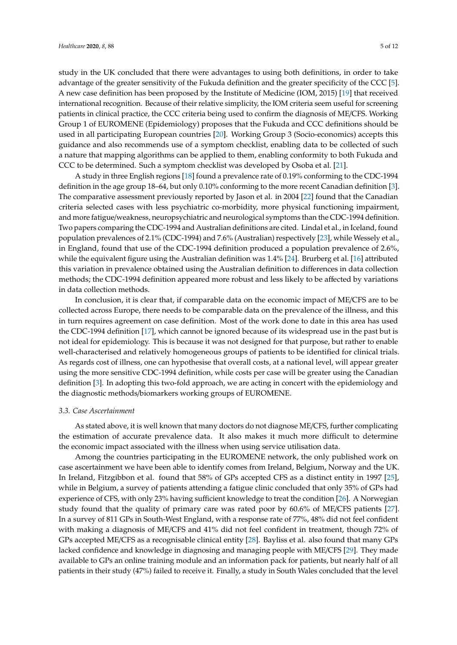study in the UK concluded that there were advantages to using both definitions, in order to take advantage of the greater sensitivity of the Fukuda definition and the greater specificity of the CCC [\[5\]](#page-9-14). A new case definition has been proposed by the Institute of Medicine (IOM, 2015) [\[19\]](#page-10-2) that received international recognition. Because of their relative simplicity, the IOM criteria seem useful for screening patients in clinical practice, the CCC criteria being used to confirm the diagnosis of ME/CFS. Working Group 1 of EUROMENE (Epidemiology) proposes that the Fukuda and CCC definitions should be used in all participating European countries [\[20\]](#page-10-3). Working Group 3 (Socio-economics) accepts this guidance and also recommends use of a symptom checklist, enabling data to be collected of such a nature that mapping algorithms can be applied to them, enabling conformity to both Fukuda and CCC to be determined. Such a symptom checklist was developed by Osoba et al. [\[21\]](#page-10-4).

A study in three English regions [\[18\]](#page-10-1) found a prevalence rate of 0.19% conforming to the CDC-1994 definition in the age group 18–64, but only 0.10% conforming to the more recent Canadian definition [\[3\]](#page-9-1). The comparative assessment previously reported by Jason et al. in 2004 [\[22\]](#page-10-5) found that the Canadian criteria selected cases with less psychiatric co-morbidity, more physical functioning impairment, and more fatigue/weakness, neuropsychiatric and neurological symptoms than the CDC-1994 definition. Two papers comparing the CDC-1994 and Australian definitions are cited. Lindal et al., in Iceland, found population prevalences of 2.1% (CDC-1994) and 7.6% (Australian) respectively [\[23\]](#page-10-6), while Wessely et al., in England, found that use of the CDC-1994 definition produced a population prevalence of 2.6%, while the equivalent figure using the Australian definition was 1.4% [\[24\]](#page-10-7). Brurberg et al. [\[16\]](#page-9-13) attributed this variation in prevalence obtained using the Australian definition to differences in data collection methods; the CDC-1994 definition appeared more robust and less likely to be affected by variations in data collection methods.

In conclusion, it is clear that, if comparable data on the economic impact of ME/CFS are to be collected across Europe, there needs to be comparable data on the prevalence of the illness, and this in turn requires agreement on case definition. Most of the work done to date in this area has used the CDC-1994 definition [\[17\]](#page-10-0), which cannot be ignored because of its widespread use in the past but is not ideal for epidemiology. This is because it was not designed for that purpose, but rather to enable well-characterised and relatively homogeneous groups of patients to be identified for clinical trials. As regards cost of illness, one can hypothesise that overall costs, at a national level, will appear greater using the more sensitive CDC-1994 definition, while costs per case will be greater using the Canadian definition [\[3\]](#page-9-1). In adopting this two-fold approach, we are acting in concert with the epidemiology and the diagnostic methods/biomarkers working groups of EUROMENE.

#### *3.3. Case Ascertainment*

As stated above, it is well known that many doctors do not diagnose ME/CFS, further complicating the estimation of accurate prevalence data. It also makes it much more difficult to determine the economic impact associated with the illness when using service utilisation data.

Among the countries participating in the EUROMENE network, the only published work on case ascertainment we have been able to identify comes from Ireland, Belgium, Norway and the UK. In Ireland, Fitzgibbon et al. found that 58% of GPs accepted CFS as a distinct entity in 1997 [\[25\]](#page-10-8), while in Belgium, a survey of patients attending a fatigue clinic concluded that only 35% of GPs had experience of CFS, with only 23% having sufficient knowledge to treat the condition [\[26\]](#page-10-9). A Norwegian study found that the quality of primary care was rated poor by 60.6% of ME/CFS patients [\[27\]](#page-10-10). In a survey of 811 GPs in South-West England, with a response rate of 77%, 48% did not feel confident with making a diagnosis of ME/CFS and 41% did not feel confident in treatment, though 72% of GPs accepted ME/CFS as a recognisable clinical entity [\[28\]](#page-10-11). Bayliss et al. also found that many GPs lacked confidence and knowledge in diagnosing and managing people with ME/CFS [\[29\]](#page-10-12). They made available to GPs an online training module and an information pack for patients, but nearly half of all patients in their study (47%) failed to receive it. Finally, a study in South Wales concluded that the level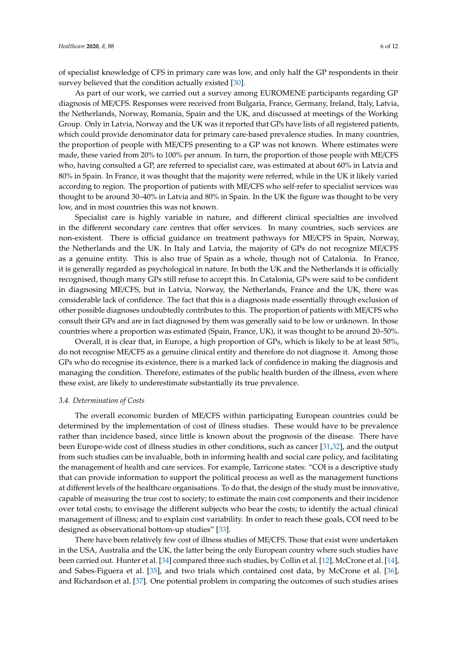of specialist knowledge of CFS in primary care was low, and only half the GP respondents in their survey believed that the condition actually existed [\[30\]](#page-10-13).

As part of our work, we carried out a survey among EUROMENE participants regarding GP diagnosis of ME/CFS. Responses were received from Bulgaria, France, Germany, Ireland, Italy, Latvia, the Netherlands, Norway, Romania, Spain and the UK, and discussed at meetings of the Working Group. Only in Latvia, Norway and the UK was it reported that GPs have lists of all registered patients, which could provide denominator data for primary care-based prevalence studies. In many countries, the proportion of people with ME/CFS presenting to a GP was not known. Where estimates were made, these varied from 20% to 100% per annum. In turn, the proportion of those people with ME/CFS who, having consulted a GP, are referred to specialist care, was estimated at about 60% in Latvia and 80% in Spain. In France, it was thought that the majority were referred, while in the UK it likely varied according to region. The proportion of patients with ME/CFS who self-refer to specialist services was thought to be around 30–40% in Latvia and 80% in Spain. In the UK the figure was thought to be very low, and in most countries this was not known.

Specialist care is highly variable in nature, and different clinical specialties are involved in the different secondary care centres that offer services. In many countries, such services are non-existent. There is official guidance on treatment pathways for ME/CFS in Spain, Norway, the Netherlands and the UK. In Italy and Latvia, the majority of GPs do not recognize ME/CFS as a genuine entity. This is also true of Spain as a whole, though not of Catalonia. In France, it is generally regarded as psychological in nature. In both the UK and the Netherlands it is officially recognised, though many GPs still refuse to accept this. In Catalonia, GPs were said to be confident in diagnosing ME/CFS, but in Latvia, Norway, the Netherlands, France and the UK, there was considerable lack of confidence. The fact that this is a diagnosis made essentially through exclusion of other possible diagnoses undoubtedly contributes to this. The proportion of patients with ME/CFS who consult their GPs and are in fact diagnosed by them was generally said to be low or unknown. In those countries where a proportion was estimated (Spain, France, UK), it was thought to be around 20–50%.

Overall, it is clear that, in Europe, a high proportion of GPs, which is likely to be at least 50%, do not recognise ME/CFS as a genuine clinical entity and therefore do not diagnose it. Among those GPs who do recognise its existence, there is a marked lack of confidence in making the diagnosis and managing the condition. Therefore, estimates of the public health burden of the illness, even where these exist, are likely to underestimate substantially its true prevalence.

#### *3.4. Determination of Costs*

The overall economic burden of ME/CFS within participating European countries could be determined by the implementation of cost of illness studies. These would have to be prevalence rather than incidence based, since little is known about the prognosis of the disease. There have been Europe-wide cost of illness studies in other conditions, such as cancer [\[31](#page-10-14)[,32\]](#page-10-15), and the output from such studies can be invaluable, both in informing health and social care policy, and facilitating the management of health and care services. For example, Tarricone states: "COI is a descriptive study that can provide information to support the political process as well as the management functions at different levels of the healthcare organisations. To do that, the design of the study must be innovative, capable of measuring the true cost to society; to estimate the main cost components and their incidence over total costs; to envisage the different subjects who bear the costs; to identify the actual clinical management of illness; and to explain cost variability. In order to reach these goals, COI need to be designed as observational bottom-up studies" [\[33\]](#page-10-16).

There have been relatively few cost of illness studies of ME/CFS. Those that exist were undertaken in the USA, Australia and the UK, the latter being the only European country where such studies have been carried out. Hunter et al. [\[34\]](#page-10-17) compared three such studies, by Collin et al. [\[12\]](#page-9-9), McCrone et al. [\[14\]](#page-9-11), and Sabes-Figuera et al. [\[35\]](#page-10-18), and two trials which contained cost data, by McCrone et al. [\[36\]](#page-10-19), and Richardson et al. [\[37\]](#page-10-20). One potential problem in comparing the outcomes of such studies arises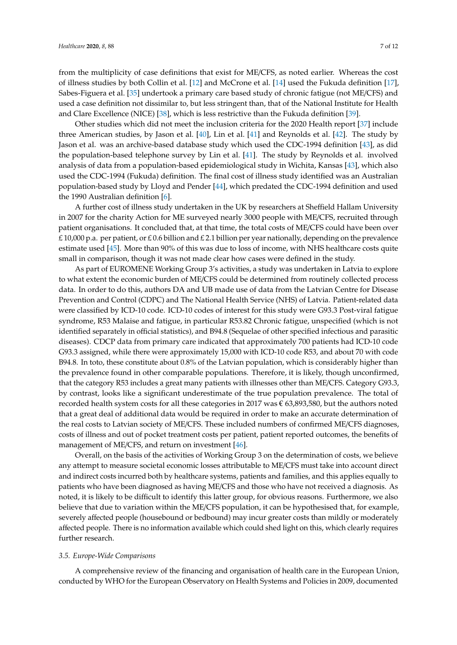from the multiplicity of case definitions that exist for ME/CFS, as noted earlier. Whereas the cost of illness studies by both Collin et al. [\[12\]](#page-9-9) and McCrone et al. [\[14\]](#page-9-11) used the Fukuda definition [\[17\]](#page-10-0), Sabes-Figuera et al. [\[35\]](#page-10-18) undertook a primary care based study of chronic fatigue (not ME/CFS) and used a case definition not dissimilar to, but less stringent than, that of the National Institute for Health and Clare Excellence (NICE) [\[38\]](#page-10-21), which is less restrictive than the Fukuda definition [\[39\]](#page-11-0).

Other studies which did not meet the inclusion criteria for the 2020 Health report [\[37\]](#page-10-20) include three American studies, by Jason et al. [\[40\]](#page-11-1), Lin et al. [\[41\]](#page-11-2) and Reynolds et al. [\[42\]](#page-11-3). The study by Jason et al. was an archive-based database study which used the CDC-1994 definition [\[43\]](#page-11-4), as did the population-based telephone survey by Lin et al. [\[41\]](#page-11-2). The study by Reynolds et al. involved analysis of data from a population-based epidemiological study in Wichita, Kansas [\[43\]](#page-11-4), which also used the CDC-1994 (Fukuda) definition. The final cost of illness study identified was an Australian population-based study by Lloyd and Pender [\[44\]](#page-11-5), which predated the CDC-1994 definition and used the 1990 Australian definition [\[6\]](#page-9-3).

A further cost of illness study undertaken in the UK by researchers at Sheffield Hallam University in 2007 for the charity Action for ME surveyed nearly 3000 people with ME/CFS, recruited through patient organisations. It concluded that, at that time, the total costs of ME/CFS could have been over £ 10,000 p.a. per patient, or £ 0.6 billion and £ 2.1 billion per year nationally, depending on the prevalence estimate used [\[45\]](#page-11-6). More than 90% of this was due to loss of income, with NHS healthcare costs quite small in comparison, though it was not made clear how cases were defined in the study.

As part of EUROMENE Working Group 3's activities, a study was undertaken in Latvia to explore to what extent the economic burden of ME/CFS could be determined from routinely collected process data. In order to do this, authors DA and UB made use of data from the Latvian Centre for Disease Prevention and Control (CDPC) and The National Health Service (NHS) of Latvia. Patient-related data were classified by ICD-10 code. ICD-10 codes of interest for this study were G93.3 Post-viral fatigue syndrome, R53 Malaise and fatigue, in particular R53.82 Chronic fatigue, unspecified (which is not identified separately in official statistics), and B94.8 (Sequelae of other specified infectious and parasitic diseases). CDCP data from primary care indicated that approximately 700 patients had ICD-10 code G93.3 assigned, while there were approximately 15,000 with ICD-10 code R53, and about 70 with code B94.8. In toto, these constitute about 0.8% of the Latvian population, which is considerably higher than the prevalence found in other comparable populations. Therefore, it is likely, though unconfirmed, that the category R53 includes a great many patients with illnesses other than ME/CFS. Category G93.3, by contrast, looks like a significant underestimate of the true population prevalence. The total of recorded health system costs for all these categories in 2017 was  $\epsilon$  63,893,580, but the authors noted that a great deal of additional data would be required in order to make an accurate determination of the real costs to Latvian society of ME/CFS. These included numbers of confirmed ME/CFS diagnoses, costs of illness and out of pocket treatment costs per patient, patient reported outcomes, the benefits of management of ME/CFS, and return on investment [\[46\]](#page-11-7).

Overall, on the basis of the activities of Working Group 3 on the determination of costs, we believe any attempt to measure societal economic losses attributable to ME/CFS must take into account direct and indirect costs incurred both by healthcare systems, patients and families, and this applies equally to patients who have been diagnosed as having ME/CFS and those who have not received a diagnosis. As noted, it is likely to be difficult to identify this latter group, for obvious reasons. Furthermore, we also believe that due to variation within the ME/CFS population, it can be hypothesised that, for example, severely affected people (housebound or bedbound) may incur greater costs than mildly or moderately affected people. There is no information available which could shed light on this, which clearly requires further research.

#### *3.5. Europe-Wide Comparisons*

A comprehensive review of the financing and organisation of health care in the European Union, conducted by WHO for the European Observatory on Health Systems and Policies in 2009, documented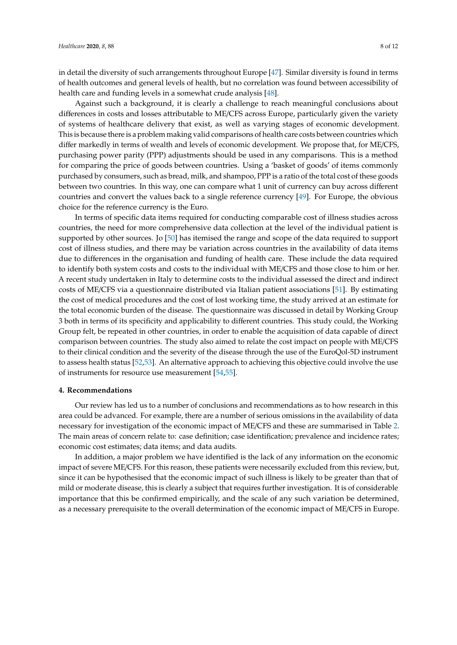in detail the diversity of such arrangements throughout Europe [\[47\]](#page-11-8). Similar diversity is found in terms of health outcomes and general levels of health, but no correlation was found between accessibility of health care and funding levels in a somewhat crude analysis [\[48\]](#page-11-9).

Against such a background, it is clearly a challenge to reach meaningful conclusions about differences in costs and losses attributable to ME/CFS across Europe, particularly given the variety of systems of healthcare delivery that exist, as well as varying stages of economic development. This is because there is a problem making valid comparisons of health care costs between countries which differ markedly in terms of wealth and levels of economic development. We propose that, for ME/CFS, purchasing power parity (PPP) adjustments should be used in any comparisons. This is a method for comparing the price of goods between countries. Using a 'basket of goods' of items commonly purchased by consumers, such as bread, milk, and shampoo, PPP is a ratio of the total cost of these goods between two countries. In this way, one can compare what 1 unit of currency can buy across different countries and convert the values back to a single reference currency [\[49\]](#page-11-10). For Europe, the obvious choice for the reference currency is the Euro.

In terms of specific data items required for conducting comparable cost of illness studies across countries, the need for more comprehensive data collection at the level of the individual patient is supported by other sources. Jo [\[50\]](#page-11-11) has itemised the range and scope of the data required to support cost of illness studies, and there may be variation across countries in the availability of data items due to differences in the organisation and funding of health care. These include the data required to identify both system costs and costs to the individual with ME/CFS and those close to him or her. A recent study undertaken in Italy to determine costs to the individual assessed the direct and indirect costs of ME/CFS via a questionnaire distributed via Italian patient associations [\[51\]](#page-11-12). By estimating the cost of medical procedures and the cost of lost working time, the study arrived at an estimate for the total economic burden of the disease. The questionnaire was discussed in detail by Working Group 3 both in terms of its specificity and applicability to different countries. This study could, the Working Group felt, be repeated in other countries, in order to enable the acquisition of data capable of direct comparison between countries. The study also aimed to relate the cost impact on people with ME/CFS to their clinical condition and the severity of the disease through the use of the EuroQol-5D instrument to assess health status [\[52,](#page-11-13)[53\]](#page-11-14). An alternative approach to achieving this objective could involve the use of instruments for resource use measurement [\[54,](#page-11-15)[55\]](#page-11-16).

## **4. Recommendations**

Our review has led us to a number of conclusions and recommendations as to how research in this area could be advanced. For example, there are a number of serious omissions in the availability of data necessary for investigation of the economic impact of ME/CFS and these are summarised in Table [2.](#page-8-0) The main areas of concern relate to: case definition; case identification; prevalence and incidence rates; economic cost estimates; data items; and data audits.

In addition, a major problem we have identified is the lack of any information on the economic impact of severe ME/CFS. For this reason, these patients were necessarily excluded from this review, but, since it can be hypothesised that the economic impact of such illness is likely to be greater than that of mild or moderate disease, this is clearly a subject that requires further investigation. It is of considerable importance that this be confirmed empirically, and the scale of any such variation be determined, as a necessary prerequisite to the overall determination of the economic impact of ME/CFS in Europe.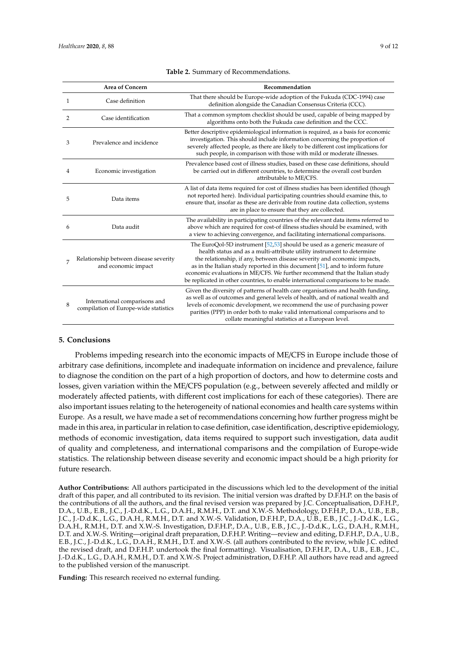<span id="page-8-0"></span>

| <b>Area of Concern</b> |                                                                        | Recommendation                                                                                                                                                                                                                                                                                                                                                                                                                                                                          |
|------------------------|------------------------------------------------------------------------|-----------------------------------------------------------------------------------------------------------------------------------------------------------------------------------------------------------------------------------------------------------------------------------------------------------------------------------------------------------------------------------------------------------------------------------------------------------------------------------------|
| 1                      | Case definition                                                        | That there should be Europe-wide adoption of the Fukuda (CDC-1994) case<br>definition alongside the Canadian Consensus Criteria (CCC).                                                                                                                                                                                                                                                                                                                                                  |
| $\overline{2}$         | Case identification                                                    | That a common symptom checklist should be used, capable of being mapped by<br>algorithms onto both the Fukuda case definition and the CCC.                                                                                                                                                                                                                                                                                                                                              |
| 3                      | Prevalence and incidence                                               | Better descriptive epidemiological information is required, as a basis for economic<br>investigation. This should include information concerning the proportion of<br>severely affected people, as there are likely to be different cost implications for<br>such people, in comparison with those with mild or moderate illnesses.                                                                                                                                                     |
| 4                      | Economic investigation                                                 | Prevalence based cost of illness studies, based on these case definitions, should<br>be carried out in different countries, to determine the overall cost burden<br>attributable to ME/CFS.                                                                                                                                                                                                                                                                                             |
| 5                      | Data items                                                             | A list of data items required for cost of illness studies has been identified (though<br>not reported here). Individual participating countries should examine this, to<br>ensure that, insofar as these are derivable from routine data collection, systems<br>are in place to ensure that they are collected.                                                                                                                                                                         |
| 6                      | Data audit                                                             | The availability in participating countries of the relevant data items referred to<br>above which are required for cost-of illness studies should be examined, with<br>a view to achieving convergence, and facilitating international comparisons.                                                                                                                                                                                                                                     |
| 7                      | Relationship between disease severity<br>and economic impact           | The EuroQol-5D instrument $[52,53]$ should be used as a generic measure of<br>health status and as a multi-attribute utility instrument to determine<br>the relationship, if any, between disease severity and economic impacts,<br>as in the Italian study reported in this document $[51]$ , and to inform future<br>economic evaluations in ME/CFS. We further recommend that the Italian study<br>be replicated in other countries, to enable international comparisons to be made. |
| 8                      | International comparisons and<br>compilation of Europe-wide statistics | Given the diversity of patterns of health care organisations and health funding,<br>as well as of outcomes and general levels of health, and of national wealth and<br>levels of economic development, we recommend the use of purchasing power<br>parities (PPP) in order both to make valid international comparisons and to<br>collate meaningful statistics at a European level.                                                                                                    |

#### **Table 2.** Summary of Recommendations.

## **5. Conclusions**

Problems impeding research into the economic impacts of ME/CFS in Europe include those of arbitrary case definitions, incomplete and inadequate information on incidence and prevalence, failure to diagnose the condition on the part of a high proportion of doctors, and how to determine costs and losses, given variation within the ME/CFS population (e.g., between severely affected and mildly or moderately affected patients, with different cost implications for each of these categories). There are also important issues relating to the heterogeneity of national economies and health care systems within Europe. As a result, we have made a set of recommendations concerning how further progress might be made in this area, in particular in relation to case definition, case identification, descriptive epidemiology, methods of economic investigation, data items required to support such investigation, data audit of quality and completeness, and international comparisons and the compilation of Europe-wide statistics. The relationship between disease severity and economic impact should be a high priority for future research.

**Author Contributions:** All authors participated in the discussions which led to the development of the initial draft of this paper, and all contributed to its revision. The initial version was drafted by D.F.H.P. on the basis of the contributions of all the authors, and the final revised version was prepared by J.C. Conceptualisation, D.F.H.P., D.A., U.B., E.B., J.C., J.-D.d.K., L.G., D.A.H., R.M.H., D.T. and X.W.-S. Methodology, D.F.H.P., D.A., U.B., E.B., J.C., J.-D.d.K., L.G., D.A.H., R.M.H., D.T. and X.W.-S. Validation, D.F.H.P., D.A., U.B., E.B., J.C., J.-D.d.K., L.G., D.A.H., R.M.H., D.T. and X.W.-S. Investigation, D.F.H.P., D.A., U.B., E.B., J.C., J.-D.d.K., L.G., D.A.H., R.M.H., D.T. and X.W.-S. Writing—original draft preparation, D.F.H.P. Writing—review and editing, D.F.H.P., D.A., U.B., E.B., J.C., J.-D.d.K., L.G., D.A.H., R.M.H., D.T. and X.W.-S. (all authors contributed to the review, while J.C. edited the revised draft, and D.F.H.P. undertook the final formatting). Visualisation, D.F.H.P., D.A., U.B., E.B., J.C., J.-D.d.K., L.G., D.A.H., R.M.H., D.T. and X.W.-S. Project administration, D.F.H.P. All authors have read and agreed to the published version of the manuscript.

**Funding:** This research received no external funding.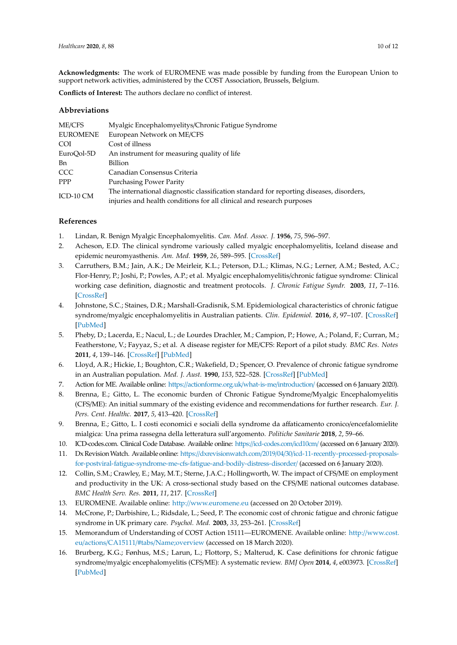**Acknowledgments:** The work of EUROMENE was made possible by funding from the European Union to support network activities, administered by the COST Association, Brussels, Belgium.

**Conflicts of Interest:** The authors declare no conflict of interest.

# **Abbreviations**

| ME/CFS          | Myalgic Encephalomyelitys/Chronic Fatigue Syndrome                                      |
|-----------------|-----------------------------------------------------------------------------------------|
| <b>EUROMENE</b> | European Network on ME/CFS                                                              |
| <b>COI</b>      | Cost of illness                                                                         |
| EuroQol-5D      | An instrument for measuring quality of life                                             |
| Bn              | Billion                                                                                 |
| CCC             | Canadian Consensus Criteria                                                             |
| <b>PPP</b>      | <b>Purchasing Power Parity</b>                                                          |
|                 | The international diagnostic classification standard for reporting diseases, disorders, |
| ICD-10 CM       | injuries and health conditions for all clinical and research purposes                   |

# **References**

- <span id="page-9-0"></span>1. Lindan, R. Benign Myalgic Encephalomyelitis. *Can. Med. Assoc. J.* **1956**, *75*, 596–597.
- 2. Acheson, E.D. The clinical syndrome variously called myalgic encephalomyelitis, Iceland disease and epidemic neuromyasthenis. *Am. Med.* **1959**, *26*, 589–595. [\[CrossRef\]](http://dx.doi.org/10.1016/0002-9343(59)90280-3)
- <span id="page-9-1"></span>3. Carruthers, B.M.; Jain, A.K.; De Meirleir, K.L.; Peterson, D.L.; Klimas, N.G.; Lerner, A.M.; Bested, A.C.; Flor-Henry, P.; Joshi, P.; Powles, A.P.; et al. Myalgic encephalomyelitis/chronic fatigue syndrome: Clinical working case definition, diagnostic and treatment protocols. *J. Chronic Fatigue Syndr.* **2003**, *11*, 7–116. [\[CrossRef\]](http://dx.doi.org/10.1300/J092v11n01_02)
- <span id="page-9-2"></span>4. Johnstone, S.C.; Staines, D.R.; Marshall-Gradisnik, S.M. Epidemiological characteristics of chronic fatigue syndrome/myalgic encephalomyelitis in Australian patients. *Clin. Epidemiol.* **2016**, *8*, 97–107. [\[CrossRef\]](http://dx.doi.org/10.2147/CLEP.S96797) [\[PubMed\]](http://www.ncbi.nlm.nih.gov/pubmed/27279748)
- <span id="page-9-14"></span>5. Pheby, D.; Lacerda, E.; Nacul, L.; de Lourdes Drachler, M.; Campion, P.; Howe, A.; Poland, F.; Curran, M.; Featherstone, V.; Fayyaz, S.; et al. A disease register for ME/CFS: Report of a pilot study. *BMC Res. Notes* **2011**, *4*, 139–146. [\[CrossRef\]](http://dx.doi.org/10.1186/1756-0500-4-139) [\[PubMed\]](http://www.ncbi.nlm.nih.gov/pubmed/21554673)
- <span id="page-9-3"></span>6. Lloyd, A.R.; Hickie, I.; Boughton, C.R.; Wakefield, D.; Spencer, O. Prevalence of chronic fatigue syndrome in an Australian population. *Med. J. Aust.* **1990**, *153*, 522–528. [\[CrossRef\]](http://dx.doi.org/10.5694/j.1326-5377.1990.tb126191.x) [\[PubMed\]](http://www.ncbi.nlm.nih.gov/pubmed/2233474)
- <span id="page-9-4"></span>7. Action for ME. Available online: https://[actionforme.org.uk](https://actionforme.org.uk/what-is-me/introduction/)/what-is-me/introduction/ (accessed on 6 January 2020).
- <span id="page-9-5"></span>8. Brenna, E.; Gitto, L. The economic burden of Chronic Fatigue Syndrome/Myalgic Encephalomyelitis (CFS/ME): An initial summary of the existing evidence and recommendations for further research. *Eur. J. Pers. Cent. Healthc.* **2017**, *5*, 413–420. [\[CrossRef\]](http://dx.doi.org/10.5750/ejpch.v5i3.1379)
- <span id="page-9-6"></span>9. Brenna, E.; Gitto, L. I costi economici e sociali della syndrome da affaticamento cronico/encefalomielite mialgica: Una prima rassegna della letteratura sull'argomento. *Politiche Sanitarie* **2018**, *2*, 59–66.
- <span id="page-9-7"></span>10. ICD-codes.com. Clinical Code Database. Available online: https://[icd-codes.com](https://icd-codes.com/icd10cm/)/icd10cm/ (accessed on 6 January 2020).
- <span id="page-9-8"></span>11. DxRevisionWatch. Available online: https://dxrevisionwatch.com/2019/04/30/[icd-11-recently-processed-proposals](https://dxrevisionwatch.com/2019/04/30/icd-11-recently-processed-proposals-for-postviral-fatigue-syndrome-me-cfs-fatigue-and-bodily-distress-disorder/)[for-postviral-fatigue-syndrome-me-cfs-fatigue-and-bodily-distress-disorder](https://dxrevisionwatch.com/2019/04/30/icd-11-recently-processed-proposals-for-postviral-fatigue-syndrome-me-cfs-fatigue-and-bodily-distress-disorder/)/ (accessed on 6 January 2020).
- <span id="page-9-9"></span>12. Collin, S.M.; Crawley, E.; May, M.T.; Sterne, J.A.C.; Hollingworth, W. The impact of CFS/ME on employment and productivity in the UK: A cross-sectional study based on the CFS/ME national outcomes database. *BMC Health Serv. Res.* **2011**, *11*, 217. [\[CrossRef\]](http://dx.doi.org/10.1186/1472-6963-11-217)
- <span id="page-9-10"></span>13. EUROMENE. Available online: http://[www.euromene.eu](http://www.euromene.eu) (accessed on 20 October 2019).
- <span id="page-9-11"></span>14. McCrone, P.; Darbishire, L.; Ridsdale, L.; Seed, P. The economic cost of chronic fatigue and chronic fatigue syndrome in UK primary care. *Psychol. Med.* **2003**, *33*, 253–261. [\[CrossRef\]](http://dx.doi.org/10.1017/S0033291702006980)
- <span id="page-9-12"></span>15. Memorandum of Understanding of COST Action 15111—EUROMENE. Available online: http://[www.cost.](http://www.cost.eu/actions/CA15111/#tabs/Name;overview) eu/actions/CA15111/#tabs/[Name;overview](http://www.cost.eu/actions/CA15111/#tabs/Name;overview) (accessed on 18 March 2020).
- <span id="page-9-13"></span>16. Brurberg, K.G.; Fønhus, M.S.; Larun, L.; Flottorp, S.; Malterud, K. Case definitions for chronic fatigue syndrome/myalgic encephalomyelitis (CFS/ME): A systematic review. *BMJ Open* **2014**, *4*, e003973. [\[CrossRef\]](http://dx.doi.org/10.1136/bmjopen-2013-003973) [\[PubMed\]](http://www.ncbi.nlm.nih.gov/pubmed/24508851)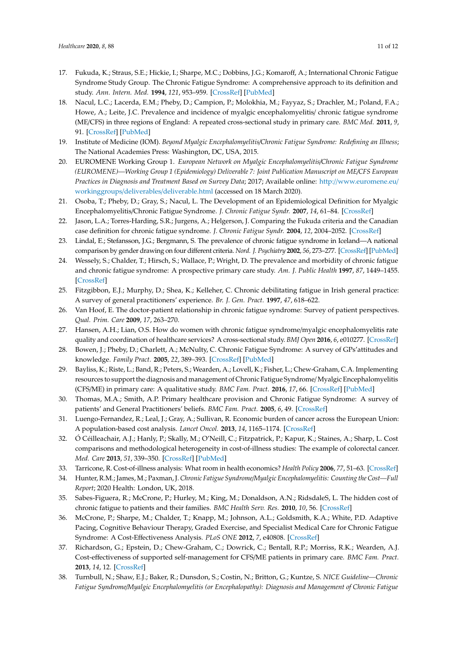- <span id="page-10-0"></span>17. Fukuda, K.; Straus, S.E.; Hickie, I.; Sharpe, M.C.; Dobbins, J.G.; Komaroff, A.; International Chronic Fatigue Syndrome Study Group. The Chronic Fatigue Syndrome: A comprehensive approach to its definition and study. *Ann. Intern. Med.* **1994**, *121*, 953–959. [\[CrossRef\]](http://dx.doi.org/10.7326/0003-4819-121-12-199412150-00009) [\[PubMed\]](http://www.ncbi.nlm.nih.gov/pubmed/7978722)
- <span id="page-10-1"></span>18. Nacul, L.C.; Lacerda, E.M.; Pheby, D.; Campion, P.; Molokhia, M.; Fayyaz, S.; Drachler, M.; Poland, F.A.; Howe, A.; Leite, J.C. Prevalence and incidence of myalgic encephalomyelitis/ chronic fatigue syndrome (ME/CFS) in three regions of England: A repeated cross-sectional study in primary care. *BMC Med.* **2011**, *9*, 91. [\[CrossRef\]](http://dx.doi.org/10.1186/1741-7015-9-91) [\[PubMed\]](http://www.ncbi.nlm.nih.gov/pubmed/21794183)
- <span id="page-10-2"></span>19. Institute of Medicine (IOM). *Beyond Myalgic Encephalomyelitis*/*Chronic Fatigue Syndrome: Redefining an Illness*; The National Academies Press: Washington, DC, USA, 2015.
- <span id="page-10-3"></span>20. EUROMENE Working Group 1. *European Network on Myalgic Encephalomyelitis*/*Chronic Fatigue Syndrome (EUROMENE)—Working Group 1 (Epidemiology) Deliverable 7: Joint Publication Manuscript on ME*/*CFS European Practices in Diagnosis and Treatment Based on Survey Data*; 2017; Available online: http://[www.euromene.eu](http://www.euromene.eu/workinggroups/deliverables/deliverable.html)/ workinggroups/deliverables/[deliverable.html](http://www.euromene.eu/workinggroups/deliverables/deliverable.html) (accessed on 18 March 2020).
- <span id="page-10-4"></span>21. Osoba, T.; Pheby, D.; Gray, S.; Nacul, L. The Development of an Epidemiological Definition for Myalgic Encephalomyelitis/Chronic Fatigue Syndrome. *J. Chronic Fatigue Syndr.* **2007**, *14*, 61–84. [\[CrossRef\]](http://dx.doi.org/10.3109/10573320802092112)
- <span id="page-10-5"></span>22. Jason, L.A.; Torres-Harding, S.R.; Jurgens, A.; Helgerson, J. Comparing the Fukuda criteria and the Canadian case definition for chronic fatigue syndrome. *J. Chronic Fatigue Syndr.* **2004**, *12*, 2004–2052. [\[CrossRef\]](http://dx.doi.org/10.1300/J092v12n01_03)
- <span id="page-10-6"></span>23. Lindal, E.; Stefansson, J.G.; Bergmann, S. The prevalence of chronic fatigue syndrome in Iceland—A national comparison by gender drawing on four different criteria. *Nord. J. Psychiatry* **2002**, *56*, 273–277. [\[CrossRef\]](http://dx.doi.org/10.1080/08039480260242769) [\[PubMed\]](http://www.ncbi.nlm.nih.gov/pubmed/12470318)
- <span id="page-10-7"></span>24. Wessely, S.; Chalder, T.; Hirsch, S.; Wallace, P.; Wright, D. The prevalence and morbidity of chronic fatigue and chronic fatigue syndrome: A prospective primary care study. *Am. J. Public Health* **1997**, *87*, 1449–1455. [\[CrossRef\]](http://dx.doi.org/10.2105/AJPH.87.9.1449)
- <span id="page-10-8"></span>25. Fitzgibbon, E.J.; Murphy, D.; Shea, K.; Kelleher, C. Chronic debilitating fatigue in Irish general practice: A survey of general practitioners' experience. *Br. J. Gen. Pract.* **1997**, *47*, 618–622.
- <span id="page-10-9"></span>26. Van Hoof, E. The doctor-patient relationship in chronic fatigue syndrome: Survey of patient perspectives. *Qual. Prim. Care* **2009**, *17*, 263–270.
- <span id="page-10-10"></span>27. Hansen, A.H.; Lian, O.S. How do women with chronic fatigue syndrome/myalgic encephalomyelitis rate quality and coordination of healthcare services? A cross-sectional study. *BMJ Open* **2016**, *6*, e010277. [\[CrossRef\]](http://dx.doi.org/10.1136/bmjopen-2015-010277)
- <span id="page-10-11"></span>28. Bowen, J.; Pheby, D.; Charlett, A.; McNulty, C. Chronic Fatigue Syndrome: A survey of GPs'attitudes and knowledge. *Family Pract.* **2005**, *22*, 389–393. [\[CrossRef\]](http://dx.doi.org/10.1093/fampra/cmi019) [\[PubMed\]](http://www.ncbi.nlm.nih.gov/pubmed/15805128)
- <span id="page-10-12"></span>29. Bayliss, K.; Riste, L.; Band, R.; Peters, S.; Wearden, A.; Lovell, K.; Fisher, L.; Chew-Graham, C.A. Implementing resources to support the diagnosis and management of Chronic Fatigue Syndrome/ Myalgic Encephalomyelitis (CFS/ME) in primary care: A qualitative study. *BMC Fam. Pract.* **2016**, *17*, 66. [\[CrossRef\]](http://dx.doi.org/10.1186/s12875-016-0453-8) [\[PubMed\]](http://www.ncbi.nlm.nih.gov/pubmed/27259658)
- <span id="page-10-13"></span>30. Thomas, M.A.; Smith, A.P. Primary healthcare provision and Chronic Fatigue Syndrome: A survey of patients' and General Practitioners' beliefs. *BMC Fam. Pract.* **2005**, *6*, 49. [\[CrossRef\]](http://dx.doi.org/10.1186/1471-2296-6-49)
- <span id="page-10-14"></span>31. Luengo-Fernandez, R.; Leal, J.; Gray, A.; Sullivan, R. Economic burden of cancer across the European Union: A population-based cost analysis. *Lancet Oncol.* **2013**, *14*, 1165–1174. [\[CrossRef\]](http://dx.doi.org/10.1016/S1470-2045(13)70442-X)
- <span id="page-10-15"></span>32. Ó Céilleachair, A.J.; Hanly, P.; Skally, M.; O'Neill, C.; Fitzpatrick, P.; Kapur, K.; Staines, A.; Sharp, L. Cost comparisons and methodological heterogeneity in cost-of-illness studies: The example of colorectal cancer. *Med. Care* **2013**, *51*, 339–350. [\[CrossRef\]](http://dx.doi.org/10.1097/MLR.0b013e3182726c13) [\[PubMed\]](http://www.ncbi.nlm.nih.gov/pubmed/23358383)
- <span id="page-10-16"></span>33. Tarricone, R. Cost-of-illness analysis: What room in health economics? *Health Policy* **2006**, *77*, 51–63. [\[CrossRef\]](http://dx.doi.org/10.1016/j.healthpol.2005.07.016)
- <span id="page-10-17"></span>34. Hunter, R.M.; James, M.; Paxman, J. *Chronic Fatigue Syndrome*/*Myalgic Encephalomyelitis: Counting the Cost—Full Report*; 2020 Health: London, UK, 2018.
- <span id="page-10-18"></span>35. Sabes-Figuera, R.; McCrone, P.; Hurley, M.; King, M.; Donaldson, A.N.; RidsdaleS, L. The hidden cost of chronic fatigue to patients and their families. *BMC Health Serv. Res.* **2010**, *10*, 56. [\[CrossRef\]](http://dx.doi.org/10.1186/1472-6963-10-56)
- <span id="page-10-19"></span>36. McCrone, P.; Sharpe, M.; Chalder, T.; Knapp, M.; Johnson, A.L.; Goldsmith, K.A.; White, P.D. Adaptive Pacing, Cognitive Behaviour Therapy, Graded Exercise, and Specialist Medical Care for Chronic Fatigue Syndrome: A Cost-Effectiveness Analysis. *PLoS ONE* **2012**, *7*, e40808. [\[CrossRef\]](http://dx.doi.org/10.1371/journal.pone.0040808)
- <span id="page-10-20"></span>37. Richardson, G.; Epstein, D.; Chew-Graham, C.; Dowrick, C.; Bentall, R.P.; Morriss, R.K.; Wearden, A.J. Cost-effectiveness of supported self-management for CFS/ME patients in primary care. *BMC Fam. Pract.* **2013**, *14*, 12. [\[CrossRef\]](http://dx.doi.org/10.1186/1471-2296-14-12)
- <span id="page-10-21"></span>38. Turnbull, N.; Shaw, E.J.; Baker, R.; Dunsdon, S.; Costin, N.; Britton, G.; Kuntze, S. *NICE Guideline—Chronic Fatigue Syndrome*/*Myalgic Encephalomyelitis (or Encephalopathy): Diagnosis and Management of Chronic Fatigue*